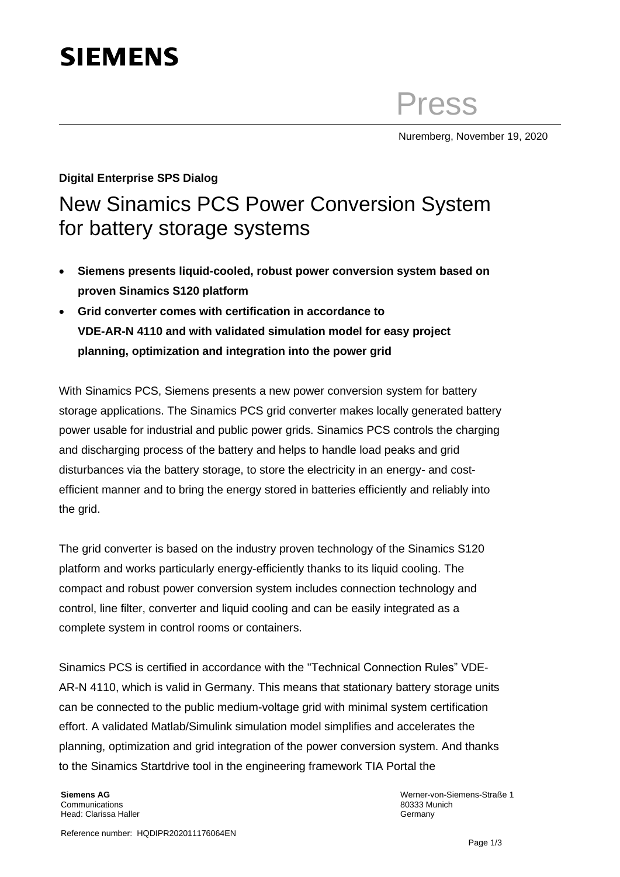## **SIEMENS**

Press

Nuremberg, November 19, 2020

## **Digital Enterprise SPS Dialog** New Sinamics PCS Power Conversion System for battery storage systems

- **Siemens presents liquid-cooled, robust power conversion system based on proven Sinamics S120 platform**
- **Grid converter comes with certification in accordance to VDE-AR-N 4110 and with validated simulation model for easy project planning, optimization and integration into the power grid**

With Sinamics PCS, Siemens presents a new power conversion system for battery storage applications. The Sinamics PCS grid converter makes locally generated battery power usable for industrial and public power grids. Sinamics PCS controls the charging and discharging process of the battery and helps to handle load peaks and grid disturbances via the battery storage, to store the electricity in an energy- and costefficient manner and to bring the energy stored in batteries efficiently and reliably into the grid.

The grid converter is based on the industry proven technology of the Sinamics S120 platform and works particularly energy-efficiently thanks to its liquid cooling. The compact and robust power conversion system includes connection technology and control, line filter, converter and liquid cooling and can be easily integrated as a complete system in control rooms or containers.

Sinamics PCS is certified in accordance with the "Technical Connection Rules" VDE-AR-N 4110, which is valid in Germany. This means that stationary battery storage units can be connected to the public medium-voltage grid with minimal system certification effort. A validated Matlab/Simulink simulation model simplifies and accelerates the planning, optimization and grid integration of the power conversion system. And thanks to the Sinamics Startdrive tool in the engineering framework TIA Portal the

**Siemens AG** Communications Head: Clarissa Haller

Werner-von-Siemens-Straße 1 80333 Munich Germany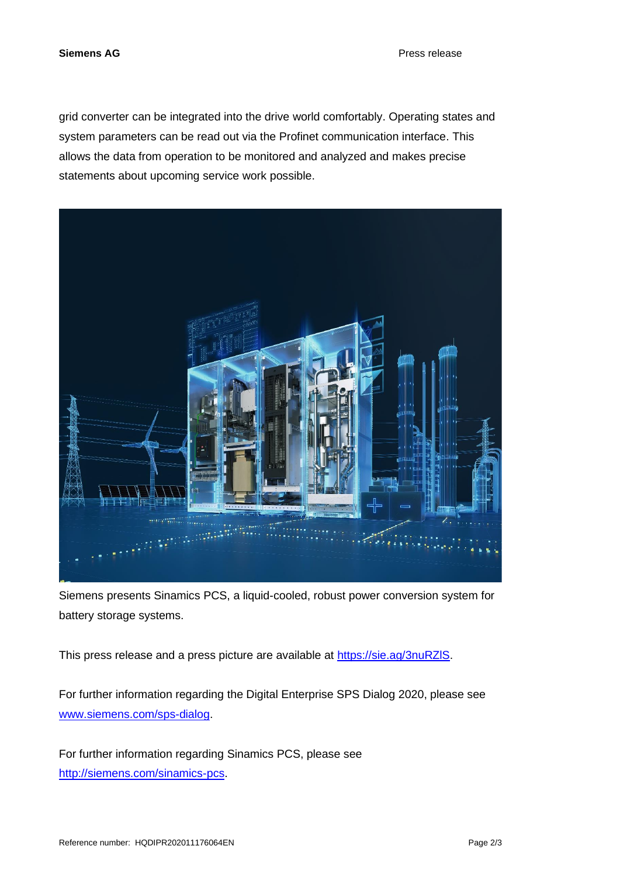grid converter can be integrated into the drive world comfortably. Operating states and system parameters can be read out via the Profinet communication interface. This allows the data from operation to be monitored and analyzed and makes precise statements about upcoming service work possible.



Siemens presents Sinamics PCS, a liquid-cooled, robust power conversion system for battery storage systems.

This press release and a press picture are available at [https://sie.ag/3nuRZlS.](https://sie.ag/3nuRZlS)

For further information regarding the Digital Enterprise SPS Dialog 2020, please see [www.siemens.com/sps-dialog.](http://www.siemens.com/sps-dialog)

For further information regarding Sinamics PCS, please see [http://siemens.com/sinamics-pcs.](http://siemens.com/sinamics-pcs)